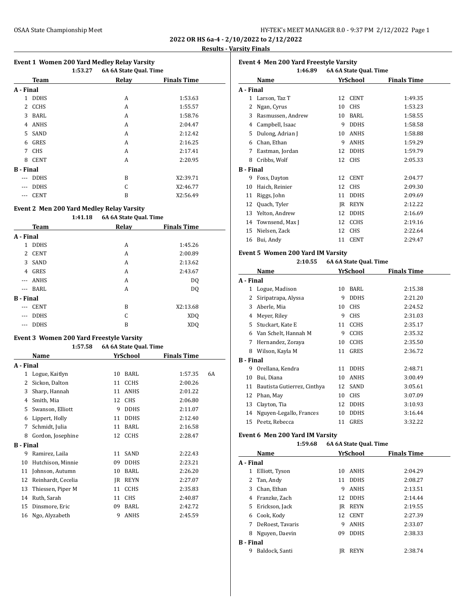| HY-TEK's MEET MANAGER 8.0 - 9:37 PM 2/12/2022 Page 1 |  |  |
|------------------------------------------------------|--|--|
|------------------------------------------------------|--|--|

**2022 OR HS 6a-4 - 2/10/2022 to 2/12/2022 Results - Varsity Finals**

| <b>Event 1 Women 200 Yard Medley Relay Varsity</b> |  |  |  |  |
|----------------------------------------------------|--|--|--|--|
|                                                    |  |  |  |  |

|                  |             | 1:53.27 | 6A 6A State Qual. Time |                    |
|------------------|-------------|---------|------------------------|--------------------|
|                  | Team        |         | Relay                  | <b>Finals Time</b> |
| A - Final        |             |         |                        |                    |
| 1                | <b>DDHS</b> |         | A                      | 1:53.63            |
| 2                | <b>CCHS</b> |         | A                      | 1:55.57            |
| 3                | BARL        |         | A                      | 1:58.76            |
| 4                | <b>ANHS</b> |         | A                      | 2:04.47            |
| 5                | SAND        |         | A                      | 2:12.42            |
| 6                | GRES        |         | A                      | 2:16.25            |
| 7                | <b>CHS</b>  |         | A                      | 2:17.41            |
| 8                | <b>CENT</b> |         | A                      | 2:20.95            |
| <b>B</b> - Final |             |         |                        |                    |
| $\cdots$         | <b>DDHS</b> |         | B                      | X2:39.71           |
| ---              | <b>DDHS</b> |         | C                      | X2:46.77           |
| $---$            | <b>CENT</b> |         | B                      | X2:56.49           |

### **Event 2 Men 200 Yard Medley Relay Varsity**

|             | 1:41.18                                 |       |                    |                        |
|-------------|-----------------------------------------|-------|--------------------|------------------------|
| <b>Team</b> |                                         | Relay | <b>Finals Time</b> |                        |
|             |                                         |       |                    |                        |
| <b>DDHS</b> |                                         | A     | 1:45.26            |                        |
| <b>CENT</b> |                                         | A     | 2:00.89            |                        |
| SAND        |                                         | A     | 2:13.62            |                        |
| GRES        |                                         | A     | 2:43.67            |                        |
| <b>ANHS</b> |                                         | A     | DQ                 |                        |
| BARL        |                                         | A     | DQ                 |                        |
|             |                                         |       |                    |                        |
| <b>CENT</b> |                                         | B     | X2:13.68           |                        |
| <b>DDHS</b> |                                         | C     | XD <sub>O</sub>    |                        |
| <b>DDHS</b> |                                         | B     | <b>XDQ</b>         |                        |
|             | A - Final<br>2<br>3<br><b>B</b> - Final |       |                    | 6A 6A State Qual. Time |

#### **Event 3 Women 200 Yard Freestyle Varsity**

|           | 1:57.58            |    | 6A 6A State Qual. Time |                    |    |
|-----------|--------------------|----|------------------------|--------------------|----|
|           | Name               |    | YrSchool               | <b>Finals Time</b> |    |
| A - Final |                    |    |                        |                    |    |
| 1         | Logue, Kaitlyn     | 10 | BARL                   | 1:57.35            | 6A |
| 2         | Sickon, Dalton     | 11 | <b>CCHS</b>            | 2:00.26            |    |
| 3         | Sharp, Hannah      | 11 | <b>ANHS</b>            | 2:01.22            |    |
| 4         | Smith, Mia         | 12 | <b>CHS</b>             | 2:06.80            |    |
| 5         | Swanson, Elliott   | 9  | <b>DDHS</b>            | 2:11.07            |    |
| 6         | Lippert, Holly     | 11 | <b>DDHS</b>            | 2:12.40            |    |
| 7         | Schmidt, Julia     | 11 | BARL                   | 2:16.58            |    |
| 8         | Gordon, Josephine  | 12 | <b>CCHS</b>            | 2:28.47            |    |
| B - Final |                    |    |                        |                    |    |
| 9         | Ramirez, Laila     | 11 | SAND                   | 2:22.43            |    |
| 10        | Hutchison, Minnie  | 09 | <b>DDHS</b>            | 2:23.21            |    |
| 11        | Johnson, Autumn    | 10 | <b>BARL</b>            | 2:26.20            |    |
| 12        | Reinhardt, Cecelia | IR | REYN                   | 2:27.07            |    |
| 13        | Thiessen, Piper M  | 11 | <b>CCHS</b>            | 2:35.83            |    |
| 14        | Ruth, Sarah        | 11 | <b>CHS</b>             | 2:40.87            |    |
| 15        | Dinsmore, Eric     | 09 | BARL                   | 2:42.72            |    |
| 16        | Ngo, Alyzabeth     | 9  | <b>ANHS</b>            | 2:45.59            |    |

| <b>Event 4 Men 200 Yard Freestyle Varsity</b> |                   |    |                        |                    |  |  |
|-----------------------------------------------|-------------------|----|------------------------|--------------------|--|--|
|                                               | 1:46.89           |    | 6A 6A State Qual. Time |                    |  |  |
|                                               | Name              |    | YrSchool               | <b>Finals Time</b> |  |  |
| A - Final                                     |                   |    |                        |                    |  |  |
| 1                                             | Larson, Taz T     | 12 | <b>CENT</b>            | 1:49.35            |  |  |
| 2                                             | Ngan, Cyrus       | 10 | <b>CHS</b>             | 1:53.23            |  |  |
| 3                                             | Rasmussen, Andrew | 10 | BARL                   | 1:58.55            |  |  |
| 4                                             | Campbell, Isaac   | 9  | <b>DDHS</b>            | 1:58.58            |  |  |
| 5                                             | Dulong, Adrian J  | 10 | <b>ANHS</b>            | 1:58.88            |  |  |
| 6                                             | Chan, Ethan       | 9  | <b>ANHS</b>            | 1:59.29            |  |  |
| 7                                             | Eastman, Jordan   | 12 | <b>DDHS</b>            | 1:59.79            |  |  |
| 8                                             | Cribbs, Wolf      | 12 | <b>CHS</b>             | 2:05.33            |  |  |
| <b>B</b> - Final                              |                   |    |                        |                    |  |  |
| 9                                             | Foss, Dayton      | 12 | <b>CENT</b>            | 2:04.77            |  |  |
| 10                                            | Haich, Reinier    | 12 | <b>CHS</b>             | 2:09.30            |  |  |
| 11                                            | Riggs, John       | 11 | <b>DDHS</b>            | 2:09.69            |  |  |
| 12                                            | Quach, Tyler      | IR | <b>REYN</b>            | 2:12.22            |  |  |
| 13                                            | Yelton, Andrew    | 12 | <b>DDHS</b>            | 2:16.69            |  |  |
| 14                                            | Townsend, Max J   | 12 | <b>CCHS</b>            | 2:19.16            |  |  |
| 15                                            | Nielsen, Zack     | 12 | <b>CHS</b>             | 2:22.64            |  |  |
| 16                                            | Bui, Andy         | 11 | <b>CENT</b>            | 2:29.47            |  |  |
|                                               |                   |    |                        |                    |  |  |

## **Event 5 Women 200 Yard IM Varsity**

| 2:10.55 | 6A 6A State Qual. Time |
|---------|------------------------|
|---------|------------------------|

|                  | Name                        |    | YrSchool    | <b>Finals Time</b> |
|------------------|-----------------------------|----|-------------|--------------------|
| A - Final        |                             |    |             |                    |
| 1                | Logue, Madison              | 10 | BARL        | 2:15.38            |
| 2                | Siripatrapa, Alyssa         | 9  | <b>DDHS</b> | 2:21.20            |
| 3                | Aberle, Mia                 | 10 | <b>CHS</b>  | 2:24.52            |
| 4                | Meyer, Riley                | 9  | <b>CHS</b>  | 2:31.03            |
| 5                | Stuckart, Kate E            | 11 | <b>CCHS</b> | 2:35.17            |
| 6                | Van Schelt, Hannah M        | 9  | <b>CCHS</b> | 2:35.32            |
| 7                | Hernandez, Zoraya           | 10 | CCHS        | 2:35.50            |
| 8                | Wilson, Kayla M             | 11 | GRES        | 2:36.72            |
| <b>B</b> - Final |                             |    |             |                    |
| 9                | Orellana, Kendra            | 11 | <b>DDHS</b> | 2:48.71            |
| 10               | Bui, Diana                  | 10 | ANHS        | 3:00.49            |
| 11               | Bautista Gutierrez, Cinthya | 12 | SAND        | 3:05.61            |
| 12               | Phan, May                   | 10 | <b>CHS</b>  | 3:07.09            |
| 13               | Clayton, Tia                | 12 | <b>DDHS</b> | 3:10.93            |
| 14               | Nguyen-Legallo, Frances     | 10 | DDHS        | 3:16.44            |
| 15               | Peetz, Rebecca              | 11 | GRES        | 3:32.22            |

### **Event 6 Men 200 Yard IM Varsity**

|                  | 1:59.68          | 6A 6A State Qual. Time |             |                    |  |
|------------------|------------------|------------------------|-------------|--------------------|--|
|                  | Name             |                        | YrSchool    | <b>Finals Time</b> |  |
| A - Final        |                  |                        |             |                    |  |
| 1                | Elliott, Tyson   | 10                     | ANHS        | 2:04.29            |  |
| 2                | Tan, Andy        | 11                     | <b>DDHS</b> | 2:08.27            |  |
| 3                | Chan, Ethan      | 9                      | ANHS        | 2:13.51            |  |
| 4                | Franzke, Zach    | 12                     | <b>DDHS</b> | 2:14.44            |  |
| 5                | Erickson, Jack   | IR                     | <b>REYN</b> | 2:19.55            |  |
| 6                | Cook, Kody       | 12                     | <b>CENT</b> | 2:27.39            |  |
| 7                | DeRoest, Tavaris | 9                      | ANHS        | 2:33.07            |  |
| 8                | Nguyen, Daevin   | 09                     | <b>DDHS</b> | 2:38.33            |  |
| <b>B</b> - Final |                  |                        |             |                    |  |
| 9                | Baldock, Santi   | IR                     | <b>REYN</b> | 2:38.74            |  |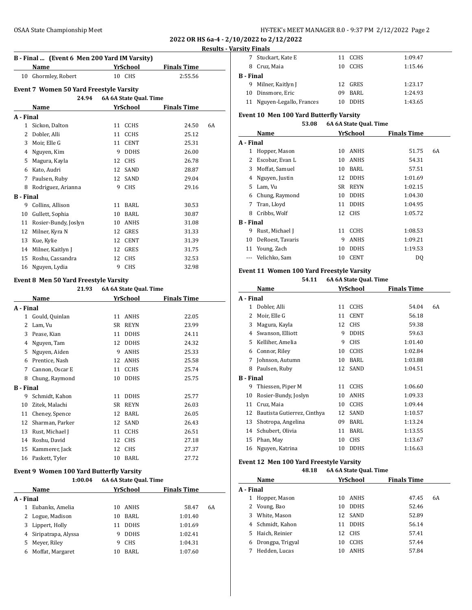**2022 OR HS 6a-4 - 2/10/2022 to 2/12/2022**

### **Results - Varsity Finals**

|                  | B - Final  (Event 6 Men 200 Yard IM Varsity)   |    |                        |                    |    |  |  |
|------------------|------------------------------------------------|----|------------------------|--------------------|----|--|--|
|                  | <b>Name</b>                                    |    | YrSchool               | <b>Finals Time</b> |    |  |  |
| 10               | Ghormley, Robert                               |    | 10 CHS                 | 2:55.56            |    |  |  |
|                  | <b>Event 7 Women 50 Yard Freestyle Varsity</b> |    |                        |                    |    |  |  |
|                  | 24.94                                          |    | 6A 6A State Qual. Time |                    |    |  |  |
|                  | Name                                           |    | YrSchool               | <b>Finals Time</b> |    |  |  |
| A - Final        |                                                |    |                        |                    |    |  |  |
| $\mathbf{1}$     | Sickon, Dalton                                 | 11 | <b>CCHS</b>            | 24.50              | 6A |  |  |
| 2                | Dobler, Alli                                   | 11 | <b>CCHS</b>            | 25.12              |    |  |  |
| 3                | Moir, Elle G                                   | 11 | <b>CENT</b>            | 25.31              |    |  |  |
| 4                | Nguyen, Kim                                    | 9  | <b>DDHS</b>            | 26.00              |    |  |  |
| 5                | Magura, Kayla                                  | 12 | <b>CHS</b>             | 26.78              |    |  |  |
| 6                | Kato, Audri                                    | 12 | SAND                   | 28.87              |    |  |  |
| 7                | Paulsen, Ruby                                  | 12 | SAND                   | 29.04              |    |  |  |
| 8                | Rodriguez, Arianna                             | 9  | <b>CHS</b>             | 29.16              |    |  |  |
| <b>B</b> - Final |                                                |    |                        |                    |    |  |  |
| 9                | Collins, Allison                               | 11 | BARL                   | 30.53              |    |  |  |
| 10               | Gullett, Sophia                                | 10 | BARL                   | 30.87              |    |  |  |
| 11               | Rosier-Bundy, Joslyn                           | 10 | <b>ANHS</b>            | 31.08              |    |  |  |
| 12               | Milner, Kyra N                                 | 12 | GRES                   | 31.33              |    |  |  |
| 13               | Kue, Kylie                                     | 12 | <b>CENT</b>            | 31.39              |    |  |  |
| 14               | Milner, Kaitlyn J                              | 12 | GRES                   | 31.75              |    |  |  |
| 15               | Roshu, Cassandra                               | 12 | <b>CHS</b>             | 32.53              |    |  |  |
| 16               | Nguyen, Lydia                                  | 9  | <b>CHS</b>             | 32.98              |    |  |  |

#### **Event 8 Men 50 Yard Freestyle Varsity**

|                  | 21.93           |    | 6A 6A State Qual. Time |                    |  |  |
|------------------|-----------------|----|------------------------|--------------------|--|--|
|                  | Name            |    | YrSchool               | <b>Finals Time</b> |  |  |
| A - Final        |                 |    |                        |                    |  |  |
| 1                | Gould, Quinlan  | 11 | ANHS                   | 22.05              |  |  |
| 2                | Lam, Vu         | SR | <b>REYN</b>            | 23.99              |  |  |
| 3                | Pease, Kian     | 11 | <b>DDHS</b>            | 24.11              |  |  |
| 4                | Nguyen, Tam     | 12 | <b>DDHS</b>            | 24.32              |  |  |
| 5                | Nguyen, Aiden   | 9  | <b>ANHS</b>            | 25.33              |  |  |
| 6                | Prentice, Nash  | 12 | <b>ANHS</b>            | 25.58              |  |  |
| 7                | Cannon, Oscar E | 11 | <b>CCHS</b>            | 25.74              |  |  |
| 8                | Chung, Raymond  | 10 | <b>DDHS</b>            | 25.75              |  |  |
| <b>B</b> - Final |                 |    |                        |                    |  |  |
| 9                | Schmidt, Kahon  | 11 | <b>DDHS</b>            | 25.77              |  |  |
| 10               | Zitek, Malachi  | SR | <b>REYN</b>            | 26.03              |  |  |
| 11               | Cheney, Spence  | 12 | BARL                   | 26.05              |  |  |
| 12               | Sharman, Parker | 12 | SAND                   | 26.43              |  |  |
| 13               | Rust, Michael J | 11 | <b>CCHS</b>            | 26.51              |  |  |
| 14               | Roshu, David    | 12 | <b>CHS</b>             | 27.18              |  |  |
| 15               | Kammerer, Jack  | 12 | <b>CHS</b>             | 27.37              |  |  |
| 16               | Paskett, Tyler  | 10 | BARL                   | 27.72              |  |  |
|                  |                 |    |                        |                    |  |  |

## **Event 9 Women 100 Yard Butterfly Varsity**

|           | 1:00.04             | 6A 6A State Qual. Time |             |             |    |
|-----------|---------------------|------------------------|-------------|-------------|----|
|           | Name                |                        | YrSchool    | Finals Time |    |
| A - Final |                     |                        |             |             |    |
| 1         | Eubanks, Amelia     | 10                     | ANHS        | 58.47       | 6A |
|           | 2 Logue, Madison    | 10                     | BARL        | 1:01.40     |    |
| 3         | Lippert, Holly      | 11                     | <b>DDHS</b> | 1:01.69     |    |
| 4         | Siripatrapa, Alyssa | 9                      | <b>DDHS</b> | 1:02.41     |    |
| 5         | Meyer, Riley        | 9                      | <b>CHS</b>  | 1:04.31     |    |
| 6         | Moffat, Margaret    | 10                     | BARL        | 1:07.60     |    |

| 7                | Stuckart, Kate E           | 11  | CCHS        | 1:09.47 |
|------------------|----------------------------|-----|-------------|---------|
|                  | 8 Cruz, Maia               | 10  | <b>CCHS</b> | 1:15.46 |
| <b>B</b> - Final |                            |     |             |         |
| 9                | Milner, Kaitlyn J          |     | 12 GRES     | 1:23.17 |
|                  | 10 Dinsmore, Eric          | 09. | BARL        | 1:24.93 |
|                  | 11 Nguyen-Legallo, Frances | 10  | <b>DDHS</b> | 1:43.65 |

## **Event 10 Men 100 Yard Butterfly Varsity**

| 53.08 | 6A 6A State Qual. Time |  |
|-------|------------------------|--|

|                  | Name             |    | YrSchool    | <b>Finals Time</b> |    |
|------------------|------------------|----|-------------|--------------------|----|
| A - Final        |                  |    |             |                    |    |
| 1                | Hopper, Mason    | 10 | <b>ANHS</b> | 51.75              | 6A |
| 2                | Escobar, Evan L  | 10 | ANHS        | 54.31              |    |
| 3                | Moffat, Samuel   | 10 | BARL        | 57.51              |    |
| 4                | Nguyen, Justin   | 12 | <b>DDHS</b> | 1:01.69            |    |
| 5                | Lam, Vu          | SR | <b>REYN</b> | 1:02.15            |    |
| 6                | Chung, Raymond   | 10 | <b>DDHS</b> | 1:04.30            |    |
| 7                | Tran, Lloyd      | 11 | <b>DDHS</b> | 1:04.95            |    |
| 8                | Cribbs, Wolf     |    | 12 CHS      | 1:05.72            |    |
| <b>B</b> - Final |                  |    |             |                    |    |
| 9                | Rust, Michael J  | 11 | <b>CCHS</b> | 1:08.53            |    |
| 10               | DeRoest, Tavaris | 9  | <b>ANHS</b> | 1:09.21            |    |
| 11               | Young, Zach      | 10 | <b>DDHS</b> | 1:19.53            |    |
|                  | Velichko, Sam    | 10 | <b>CENT</b> | DQ                 |    |
|                  |                  |    |             |                    |    |

## **Event 11 Women 100 Yard Freestyle Varsity**

| 54.11 | 6A 6A State Oual. Time |  |
|-------|------------------------|--|

|                  | Name                        |    | YrSchool    | <b>Finals Time</b> |    |
|------------------|-----------------------------|----|-------------|--------------------|----|
| A - Final        |                             |    |             |                    |    |
| 1                | Dobler, Alli                | 11 | <b>CCHS</b> | 54.04              | 6A |
| 2                | Moir, Elle G                | 11 | <b>CENT</b> | 56.18              |    |
| 3                | Magura, Kayla               | 12 | <b>CHS</b>  | 59.38              |    |
| 4                | Swanson, Elliott            | 9  | <b>DDHS</b> | 59.63              |    |
| 5                | Kelliher, Amelia            | 9  | <b>CHS</b>  | 1:01.40            |    |
| 6                | Connor, Riley               | 10 | <b>CCHS</b> | 1:02.84            |    |
| 7                | Johnson, Autumn             | 10 | BARL        | 1:03.88            |    |
| 8                | Paulsen, Ruby               | 12 | SAND        | 1:04.51            |    |
| <b>B</b> - Final |                             |    |             |                    |    |
| 9                | Thiessen, Piper M           | 11 | <b>CCHS</b> | 1:06.60            |    |
| 10               | Rosier-Bundy, Joslyn        | 10 | ANHS        | 1:09.33            |    |
| 11               | Cruz, Maia                  | 10 | <b>CCHS</b> | 1:09.44            |    |
| 12               | Bautista Gutierrez, Cinthya | 12 | SAND        | 1:10.57            |    |
| 13               | Shotropa, Angelina          | 09 | <b>BARL</b> | 1:13.24            |    |
| 14               | Schubert, Olivia            | 11 | <b>BARL</b> | 1:13.55            |    |
| 15               | Phan, May                   | 10 | <b>CHS</b>  | 1:13.67            |    |
| 16               | Nguyen, Katrina             | 10 | <b>DDHS</b> | 1:16.63            |    |

## **Event 12 Men 100 Yard Freestyle Varsity**

|           |                  | 48.18 | 6A 6A State Qual. Time |             |                    |    |
|-----------|------------------|-------|------------------------|-------------|--------------------|----|
|           | Name             |       |                        | YrSchool    | <b>Finals Time</b> |    |
| A - Final |                  |       |                        |             |                    |    |
|           | Hopper, Mason    |       | 10                     | ANHS        | 47.45              | 6A |
|           | Voung, Bao       |       | 10                     | <b>DDHS</b> | 52.46              |    |
| 3         | White, Mason     |       | 12                     | SAND        | 52.89              |    |
|           | 4 Schmidt, Kahon |       | 11                     | <b>DDHS</b> | 56.14              |    |
| 5.        | Haich, Reinier   |       | 12                     | <b>CHS</b>  | 57.41              |    |
| 6         | Drongpa, Trigyal |       | 10                     | <b>CCHS</b> | 57.44              |    |
|           | Hedden, Lucas    |       | 10                     | <b>ANHS</b> | 57.84              |    |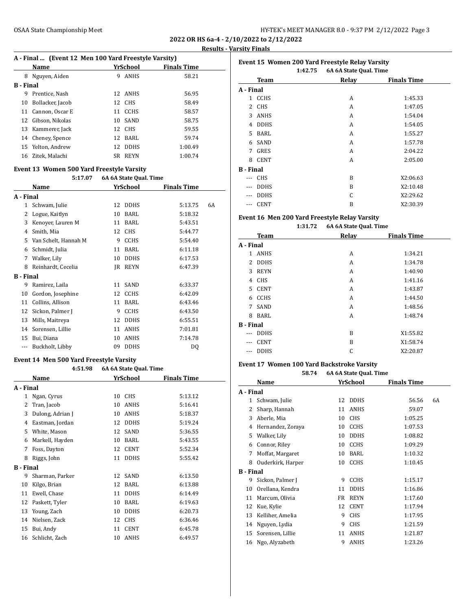**2022 OR HS 6a-4 - 2/10/2022 to 2/12/2022 Results - Varsity Finals**

|           | A - Final  (Event 12 Men 100 Yard Freestyle Varsity) |     |             |                    |  |
|-----------|------------------------------------------------------|-----|-------------|--------------------|--|
|           | Name                                                 |     | YrSchool    | <b>Finals Time</b> |  |
| 8         | Nguyen, Aiden                                        | 9   | <b>ANHS</b> | 58.21              |  |
| B - Final |                                                      |     |             |                    |  |
| 9         | Prentice, Nash                                       |     | 12 ANHS     | 56.95              |  |
| 10        | Bollacker, Jacob                                     |     | 12 CHS      | 58.49              |  |
| 11        | Cannon, Oscar E                                      |     | 11 CCHS     | 58.57              |  |
|           | 12 Gibson, Nikolas                                   |     | 10 SAND     | 58.75              |  |
|           | 13 Kammerer, Jack                                    |     | 12 CHS      | 59.55              |  |
|           | 14 Cheney, Spence                                    |     | 12 BARL     | 59.74              |  |
|           | 15 Yelton, Andrew                                    |     | 12 DDHS     | 1:00.49            |  |
| 16        | Zitek, Malachi                                       | SR. | REYN        | 1:00.74            |  |
|           |                                                      |     |             |                    |  |

#### **Event 13 Women 500 Yard Freestyle Varsity 5:17.07 6A 6A State Qual. Time**

|                  |                      |    | on on banco yuun riine |                    |    |
|------------------|----------------------|----|------------------------|--------------------|----|
|                  | Name                 |    | YrSchool               | <b>Finals Time</b> |    |
| A - Final        |                      |    |                        |                    |    |
| 1                | Schwam, Julie        | 12 | <b>DDHS</b>            | 5:13.75            | 6A |
| 2                | Logue, Kaitlyn       | 10 | BARL                   | 5:18.32            |    |
| 3                | Kenoyer, Lauren M    | 11 | BARL                   | 5:43.51            |    |
| 4                | Smith, Mia           | 12 | <b>CHS</b>             | 5:44.77            |    |
| 5                | Van Schelt, Hannah M | 9  | <b>CCHS</b>            | 5:54.40            |    |
| 6                | Schmidt, Julia       | 11 | BARL                   | 6:11.18            |    |
| 7                | Walker, Lily         | 10 | <b>DDHS</b>            | 6:17.53            |    |
| 8                | Reinhardt, Cecelia   | IR | <b>REYN</b>            | 6:47.39            |    |
| <b>B</b> - Final |                      |    |                        |                    |    |
| 9                | Ramirez, Laila       | 11 | SAND                   | 6:33.37            |    |
| 10               | Gordon, Josephine    | 12 | <b>CCHS</b>            | 6:42.09            |    |
| 11               | Collins, Allison     | 11 | BARL                   | 6:43.46            |    |
| 12               | Sickon, Palmer J     | 9  | <b>CCHS</b>            | 6:43.50            |    |
| 13               | Mills, Maitreya      | 12 | <b>DDHS</b>            | 6:55.51            |    |
| 14               | Sorensen, Lillie     | 11 | <b>ANHS</b>            | 7:01.81            |    |
| 15               | Bui, Diana           | 10 | <b>ANHS</b>            | 7:14.78            |    |
|                  | Buckholt, Libby      | 09 | <b>DDHS</b>            | DQ                 |    |

## **Event 14 Men 500 Yard Freestyle Varsity**

|                  | 4:51.98          | 6A 6A State Qual. Time |             |                    |
|------------------|------------------|------------------------|-------------|--------------------|
|                  | Name             |                        | YrSchool    | <b>Finals Time</b> |
| A - Final        |                  |                        |             |                    |
| 1                | Ngan, Cyrus      | 10                     | <b>CHS</b>  | 5:13.12            |
| 2                | Tran, Jacob      | 10                     | <b>ANHS</b> | 5:16.41            |
| 3                | Dulong, Adrian J | 10                     | <b>ANHS</b> | 5:18.37            |
| 4                | Eastman, Jordan  | 12                     | <b>DDHS</b> | 5:19.24            |
| 5                | White, Mason     | 12                     | SAND        | 5:36.55            |
| 6                | Markell, Hayden  | 10                     | BARL        | 5:43.55            |
| 7                | Foss, Dayton     | 12                     | <b>CENT</b> | 5:52.34            |
| 8                | Riggs, John      | 11                     | <b>DDHS</b> | 5:55.42            |
| <b>B</b> - Final |                  |                        |             |                    |
| 9                | Sharman, Parker  | 12                     | SAND        | 6:13.50            |
| 10               | Kilgo, Brian     | 12                     | BARL        | 6:13.88            |
| 11               | Ewell, Chase     | 11                     | <b>DDHS</b> | 6:14.49            |
| 12               | Paskett, Tyler   | 10                     | BARL        | 6:19.63            |
| 13               | Young, Zach      | 10                     | <b>DDHS</b> | 6:20.73            |
| 14               | Nielsen, Zack    | 12                     | <b>CHS</b>  | 6:36.46            |
| 15               | Bui, Andy        | 11                     | <b>CENT</b> | 6:45.78            |
| 16               | Schlicht, Zach   | 10                     | ANHS        | 6:49.57            |

|                  | Event 15 Women 200 Yard Freestyle Relay Varsity |                        |                    |  |  |
|------------------|-------------------------------------------------|------------------------|--------------------|--|--|
|                  | 1:42.75                                         | 6A 6A State Qual. Time |                    |  |  |
|                  | Team                                            | Relay                  | <b>Finals Time</b> |  |  |
| A - Final        |                                                 |                        |                    |  |  |
| $\mathbf{1}$     | <b>CCHS</b>                                     | A                      | 1:45.33            |  |  |
| 2                | <b>CHS</b>                                      | A                      | 1:47.05            |  |  |
| 3                | <b>ANHS</b>                                     | A                      | 1:54.04            |  |  |
| 4                | <b>DDHS</b>                                     | A                      | 1:54.05            |  |  |
| 5.               | BARL                                            | A                      | 1:55.27            |  |  |
| 6                | SAND                                            | A                      | 1:57.78            |  |  |
| 7                | GRES                                            | A                      | 2:04.22            |  |  |
| 8                | <b>CENT</b>                                     | A                      | 2:05.00            |  |  |
| <b>B</b> - Final |                                                 |                        |                    |  |  |
|                  | <b>CHS</b>                                      | B                      | X2:06.63           |  |  |
| ---              | <b>DDHS</b>                                     | B                      | X2:10.48           |  |  |
| ---              | <b>DDHS</b>                                     | C                      | X2:29.62           |  |  |
| ---              | <b>CENT</b>                                     | B                      | X2:30.39           |  |  |

## **Event 16 Men 200 Yard Freestyle Relay Varsity**

## **1:31.72 6A 6A State Qual. Time**

| <b>Team</b>                 | Relay | <b>Finals Time</b> |
|-----------------------------|-------|--------------------|
| A - Final                   |       |                    |
| <b>ANHS</b><br>$\mathbf{1}$ | A     | 1:34.21            |
| <b>DDHS</b>                 | A     | 1:34.78            |
| <b>REYN</b>                 | A     | 1:40.90            |
| <b>CHS</b>                  | A     | 1:41.16            |
| CENT                        | A     | 1:43.87            |
| <b>CCHS</b>                 | A     | 1:44.50            |
| SAND                        | A     | 1:48.56            |
| BARL                        | A     | 1:48.74            |
| <b>B</b> - Final            |       |                    |
| <b>DDHS</b>                 | B     | X1:55.82           |
| <b>CENT</b>                 | B     | X1:58.74           |
| <b>DDHS</b>                 | C     | X2:20.87           |
|                             |       |                    |

# **Event 17 Women 100 Yard Backstroke Varsity**

| 6A 6A State Qual. Time<br>58.74 |                   |    |             |                    |    |
|---------------------------------|-------------------|----|-------------|--------------------|----|
|                                 | Name              |    | YrSchool    | <b>Finals Time</b> |    |
| A - Final                       |                   |    |             |                    |    |
| 1                               | Schwam, Julie     | 12 | <b>DDHS</b> | 56.56              | 6A |
| 2                               | Sharp, Hannah     | 11 | ANHS        | 59.07              |    |
| 3                               | Aberle, Mia       | 10 | <b>CHS</b>  | 1:05.25            |    |
| 4                               | Hernandez, Zoraya | 10 | <b>CCHS</b> | 1:07.53            |    |
| 5                               | Walker, Lily      | 10 | <b>DDHS</b> | 1:08.82            |    |
| 6                               | Connor, Riley     | 10 | <b>CCHS</b> | 1:09.29            |    |
| 7                               | Moffat, Margaret  | 10 | BARL        | 1:10.32            |    |
| 8                               | Ouderkirk, Harper | 10 | <b>CCHS</b> | 1:10.45            |    |
| <b>B</b> - Final                |                   |    |             |                    |    |
| 9                               | Sickon, Palmer J  | 9  | <b>CCHS</b> | 1:15.17            |    |
| 10                              | Orellana, Kendra  | 11 | <b>DDHS</b> | 1:16.86            |    |
| 11                              | Marcum, Olivia    | FR | <b>REYN</b> | 1:17.60            |    |
| 12                              | Kue, Kylie        | 12 | <b>CENT</b> | 1:17.94            |    |
| 13                              | Kelliher, Amelia  | 9  | <b>CHS</b>  | 1:17.95            |    |
| 14                              | Nguyen, Lydia     | 9  | <b>CHS</b>  | 1:21.59            |    |
| 15                              | Sorensen, Lillie  | 11 | ANHS        | 1:21.87            |    |
| 16                              | Ngo, Alyzabeth    | 9  | ANHS        | 1:23.26            |    |